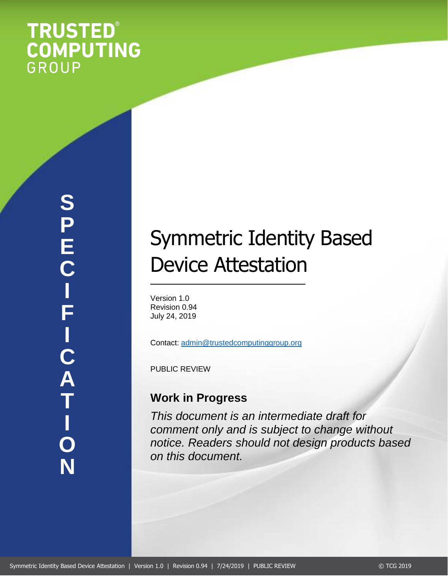# **TRUSTED®<br>COMPUTING**<br>GROUP

# Symmetric Identity Based Device Attestation

Version 1.0 Revision 0.94 July 24, 2019

Contact: [admin@trustedcomputinggroup.org](mailto:admin@trustedcomputinggroup.org)

PUBLIC REVIEW

# **Work in Progress**

*This document is an intermediate draft for comment only and is subject to change without notice. Readers should not design products based on this document.*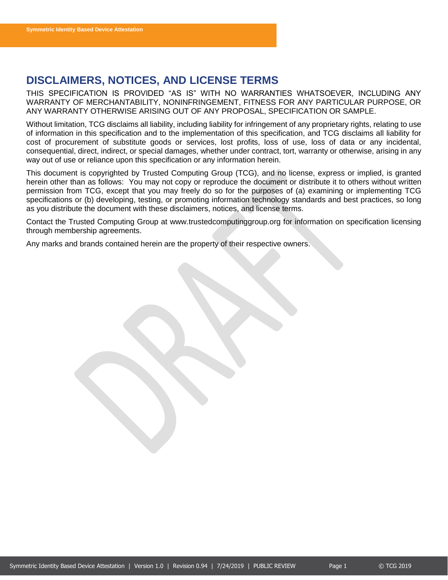# <span id="page-1-0"></span>**DISCLAIMERS, NOTICES, AND LICENSE TERMS**

THIS SPECIFICATION IS PROVIDED "AS IS" WITH NO WARRANTIES WHATSOEVER, INCLUDING ANY WARRANTY OF MERCHANTABILITY, NONINFRINGEMENT, FITNESS FOR ANY PARTICULAR PURPOSE, OR ANY WARRANTY OTHERWISE ARISING OUT OF ANY PROPOSAL, SPECIFICATION OR SAMPLE.

Without limitation, TCG disclaims all liability, including liability for infringement of any proprietary rights, relating to use of information in this specification and to the implementation of this specification, and TCG disclaims all liability for cost of procurement of substitute goods or services, lost profits, loss of use, loss of data or any incidental, consequential, direct, indirect, or special damages, whether under contract, tort, warranty or otherwise, arising in any way out of use or reliance upon this specification or any information herein.

This document is copyrighted by Trusted Computing Group (TCG), and no license, express or implied, is granted herein other than as follows: You may not copy or reproduce the document or distribute it to others without written permission from TCG, except that you may freely do so for the purposes of (a) examining or implementing TCG specifications or (b) developing, testing, or promoting information technology standards and best practices, so long as you distribute the document with these disclaimers, notices, and license terms.

Contact the Trusted Computing Group at www.trustedcomputinggroup.org for information on specification licensing through membership agreements.

Any marks and brands contained herein are the property of their respective owners.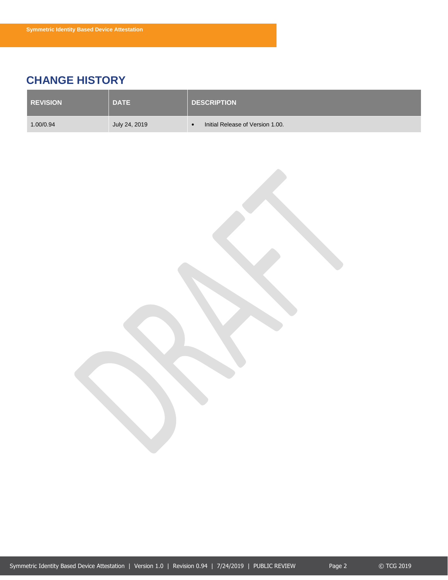# <span id="page-2-0"></span>**CHANGE HISTORY**

| <b>REVISION</b> | <b>DATE</b>   | <b>DESCRIPTION</b>               |
|-----------------|---------------|----------------------------------|
| 1.00/0.94       | July 24, 2019 | Initial Release of Version 1.00. |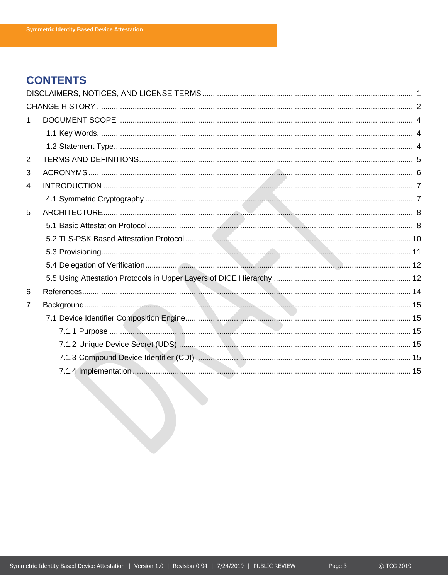# **CONTENTS**

| $\mathbf 1$    |  |
|----------------|--|
|                |  |
|                |  |
| $\overline{2}$ |  |
| 3              |  |
| 4              |  |
|                |  |
| 5              |  |
|                |  |
|                |  |
|                |  |
|                |  |
|                |  |
| 6              |  |
| $\overline{7}$ |  |
|                |  |
|                |  |
|                |  |
|                |  |
|                |  |
|                |  |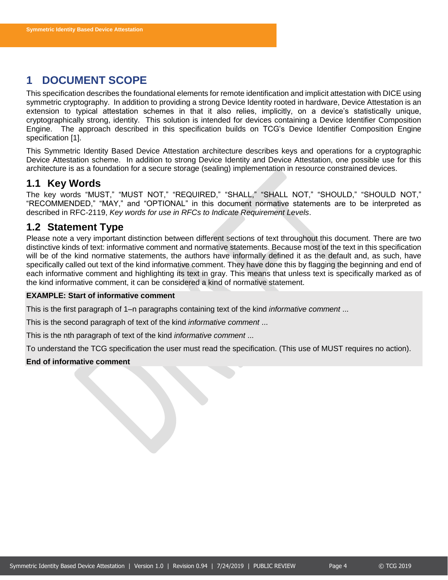# <span id="page-4-0"></span>**1 DOCUMENT SCOPE**

This specification describes the foundational elements for remote identification and implicit attestation with DICE using symmetric cryptography. In addition to providing a strong Device Identity rooted in hardware, Device Attestation is an extension to typical attestation schemes in that it also relies, implicitly, on a device's statistically unique, cryptographically strong, identity. This solution is intended for devices containing a Device Identifier Composition Engine. The approach described in this specification builds on TCG's Device Identifier Composition Engine specification [1].

This Symmetric Identity Based Device Attestation architecture describes keys and operations for a cryptographic Device Attestation scheme. In addition to strong Device Identity and Device Attestation, one possible use for this architecture is as a foundation for a secure storage (sealing) implementation in resource constrained devices.

### <span id="page-4-1"></span>**1.1 Key Words**

The key words "MUST," "MUST NOT," "REQUIRED," "SHALL," "SHALL NOT," "SHOULD," "SHOULD NOT," "RECOMMENDED," "MAY," and "OPTIONAL" in this document normative statements are to be interpreted as described in RFC-2119, *Key words for use in RFCs to Indicate Requirement Levels*.

# <span id="page-4-2"></span>**1.2 Statement Type**

Please note a very important distinction between different sections of text throughout this document. There are two distinctive kinds of text: informative comment and normative statements. Because most of the text in this specification will be of the kind normative statements, the authors have informally defined it as the default and, as such, have specifically called out text of the kind informative comment. They have done this by flagging the beginning and end of each informative comment and highlighting its text in gray. This means that unless text is specifically marked as of the kind informative comment, it can be considered a kind of normative statement.

### **EXAMPLE: Start of informative comment**

This is the first paragraph of 1–n paragraphs containing text of the kind *informative comment* ...

This is the second paragraph of text of the kind *informative comment* ...

This is the nth paragraph of text of the kind *informative comment* ...

To understand the TCG specification the user must read the specification. (This use of MUST requires no action).

### **End of informative comment**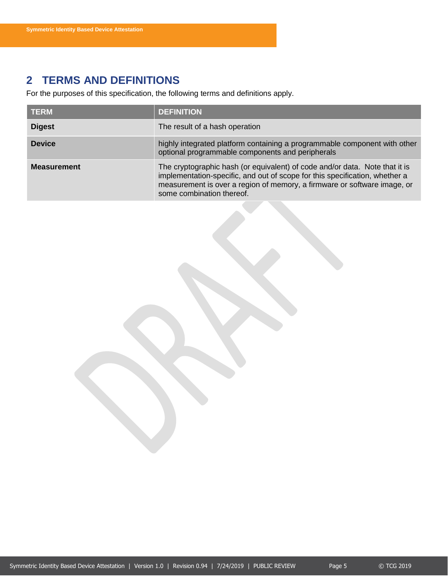# <span id="page-5-0"></span>**2 TERMS AND DEFINITIONS**

For the purposes of this specification, the following terms and definitions apply.

| <b>TERM</b>        | <b>DEFINITION</b>                                                                                                                                                                                                                                                   |
|--------------------|---------------------------------------------------------------------------------------------------------------------------------------------------------------------------------------------------------------------------------------------------------------------|
| <b>Digest</b>      | The result of a hash operation                                                                                                                                                                                                                                      |
| <b>Device</b>      | highly integrated platform containing a programmable component with other<br>optional programmable components and peripherals                                                                                                                                       |
| <b>Measurement</b> | The cryptographic hash (or equivalent) of code and/or data. Note that it is<br>implementation-specific, and out of scope for this specification, whether a<br>measurement is over a region of memory, a firmware or software image, or<br>some combination thereof. |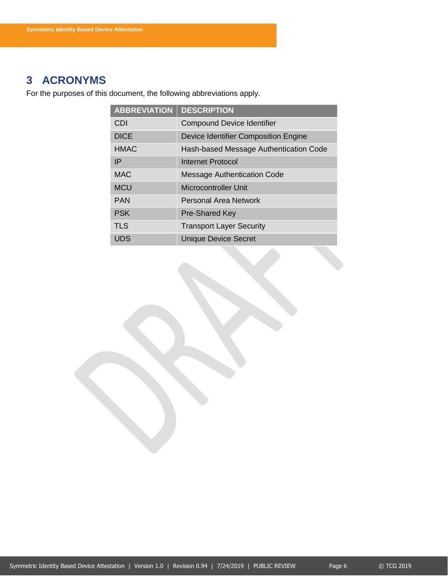# <span id="page-6-0"></span>**3 ACRONYMS**

For the purposes of this document, the following abbreviations apply.

| <b>ABBREVIATION</b> | <b>DESCRIPTION</b>                     |
|---------------------|----------------------------------------|
| CDI                 | <b>Compound Device Identifier</b>      |
| <b>DICE</b>         | Device Identifier Composition Engine   |
| <b>HMAC</b>         | Hash-based Message Authentication Code |
| IP                  | Internet Protocol                      |
| <b>MAC</b>          | <b>Message Authentication Code</b>     |
| <b>MCU</b>          | <b>Microcontroller Unit</b>            |
| <b>PAN</b>          | Personal Area Network                  |
| <b>PSK</b>          | <b>Pre-Shared Key</b>                  |
| <b>TLS</b>          | <b>Transport Layer Security</b>        |
| UDS                 | <b>Unique Device Secret</b>            |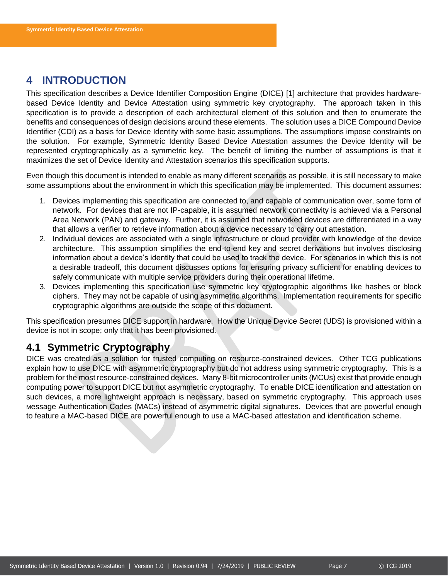# <span id="page-7-0"></span>**4 INTRODUCTION**

This specification describes a Device Identifier Composition Engine (DICE) [1] architecture that provides hardwarebased Device Identity and Device Attestation using symmetric key cryptography. The approach taken in this specification is to provide a description of each architectural element of this solution and then to enumerate the benefits and consequences of design decisions around these elements. The solution uses a DICE Compound Device Identifier (CDI) as a basis for Device Identity with some basic assumptions. The assumptions impose constraints on the solution. For example, Symmetric Identity Based Device Attestation assumes the Device Identity will be represented cryptographically as a symmetric key. The benefit of limiting the number of assumptions is that it maximizes the set of Device Identity and Attestation scenarios this specification supports.

Even though this document is intended to enable as many different scenarios as possible, it is still necessary to make some assumptions about the environment in which this specification may be implemented. This document assumes:

- 1. Devices implementing this specification are connected to, and capable of communication over, some form of network. For devices that are not IP-capable, it is assumed network connectivity is achieved via a Personal Area Network (PAN) and gateway. Further, it is assumed that networked devices are differentiated in a way that allows a verifier to retrieve information about a device necessary to carry out attestation.
- 2. Individual devices are associated with a single infrastructure or cloud provider with knowledge of the device architecture. This assumption simplifies the end-to-end key and secret derivations but involves disclosing information about a device's identity that could be used to track the device. For scenarios in which this is not a desirable tradeoff, this document discusses options for ensuring privacy sufficient for enabling devices to safely communicate with multiple service providers during their operational lifetime.
- 3. Devices implementing this specification use symmetric key cryptographic algorithms like hashes or block ciphers. They may not be capable of using asymmetric algorithms. Implementation requirements for specific cryptographic algorithms are outside the scope of this document.

This specification presumes DICE support in hardware. How the Unique Device Secret (UDS) is provisioned within a device is not in scope; only that it has been provisioned.

# <span id="page-7-1"></span>**4.1 Symmetric Cryptography**

DICE was created as a solution for trusted computing on resource-constrained devices. Other TCG publications explain how to use DICE with asymmetric cryptography but do not address using symmetric cryptography. This is a problem for the most resource-constrained devices. Many 8-bit microcontroller units (MCUs) exist that provide enough computing power to support DICE but not asymmetric cryptography. To enable DICE identification and attestation on such devices, a more lightweight approach is necessary, based on symmetric cryptography. This approach uses Message Authentication Codes (MACs) instead of asymmetric digital signatures. Devices that are powerful enough to feature a MAC-based DICE are powerful enough to use a MAC-based attestation and identification scheme.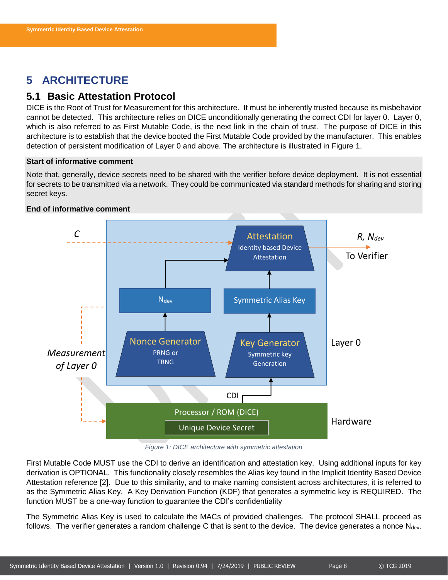# <span id="page-8-0"></span>**5 ARCHITECTURE**

# <span id="page-8-1"></span>**5.1 Basic Attestation Protocol**

DICE is the Root of Trust for Measurement for this architecture. It must be inherently trusted because its misbehavior cannot be detected. This architecture relies on DICE unconditionally generating the correct CDI for layer 0. Layer 0, which is also referred to as First Mutable Code, is the next link in the chain of trust. The purpose of DICE in this architecture is to establish that the device booted the First Mutable Code provided by the manufacturer. This enables detection of persistent modification of Layer 0 and above. The architecture is illustrated in [Figure 1.](#page-8-2)

### **Start of informative comment**

Note that, generally, device secrets need to be shared with the verifier before device deployment. It is not essential for secrets to be transmitted via a network. They could be communicated via standard methods for sharing and storing secret keys.



### **End of informative comment**

*Figure 1: DICE architecture with symmetric attestation*

<span id="page-8-2"></span>First Mutable Code MUST use the CDI to derive an identification and attestation key. Using additional inputs for key derivation is OPTIONAL. This functionality closely resembles the Alias key found in the Implicit Identity Based Device Attestation reference [2]. Due to this similarity, and to make naming consistent across architectures, it is referred to as the Symmetric Alias Key. A Key Derivation Function (KDF) that generates a symmetric key is REQUIRED. The function MUST be a one-way function to guarantee the CDI's confidentiality

The Symmetric Alias Key is used to calculate the MACs of provided challenges. The protocol SHALL proceed as follows. The verifier generates a random challenge C that is sent to the device. The device generates a nonce  $N_{dev}$ .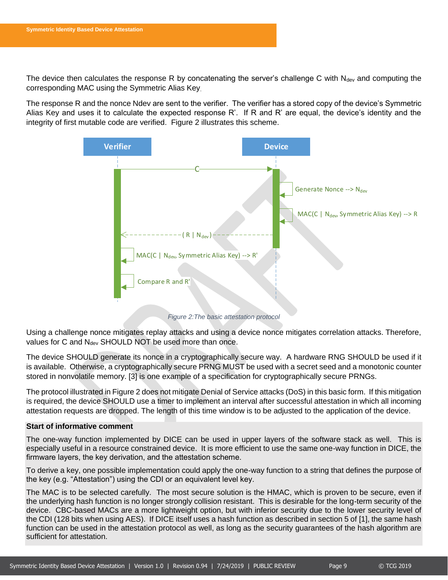The device then calculates the response R by concatenating the server's challenge C with  $N_{dev}$  and computing the corresponding MAC using the Symmetric Alias Key.

The response R and the nonce Ndev are sent to the verifier. The verifier has a stored copy of the device's Symmetric Alias Key and uses it to calculate the expected response R'. If R and R' are equal, the device's identity and the integrity of first mutable code are verified. [Figure 2](#page-9-0) illustrates this scheme.



*Figure 2:The basic attestation protocol*

<span id="page-9-0"></span>Using a challenge nonce mitigates replay attacks and using a device nonce mitigates correlation attacks. Therefore, values for C and N<sub>dev</sub> SHOULD NOT be used more than once.

The device SHOULD generate its nonce in a cryptographically secure way. A hardware RNG SHOULD be used if it is available. Otherwise, a cryptographically secure PRNG MUST be used with a secret seed and a monotonic counter stored in nonvolatile memory. [3] is one example of a specification for cryptographically secure PRNGs.

The protocol illustrated i[n Figure 2](#page-9-0) does not mitigate Denial of Service attacks (DoS) in this basic form. If this mitigation is required, the device SHOULD use a timer to implement an interval after successful attestation in which all incoming attestation requests are dropped. The length of this time window is to be adjusted to the application of the device.

### **Start of informative comment**

The one-way function implemented by DICE can be used in upper layers of the software stack as well. This is especially useful in a resource constrained device. It is more efficient to use the same one-way function in DICE, the firmware layers, the key derivation, and the attestation scheme.

To derive a key, one possible implementation could apply the one-way function to a string that defines the purpose of the key (e.g. "Attestation") using the CDI or an equivalent level key.

The MAC is to be selected carefully. The most secure solution is the HMAC, which is proven to be secure, even if the underlying hash function is no longer strongly collision resistant. This is desirable for the long-term security of the device. CBC-based MACs are a more lightweight option, but with inferior security due to the lower security level of the CDI (128 bits when using AES). If DICE itself uses a hash function as described in section 5 of [1], the same hash function can be used in the attestation protocol as well, as long as the security guarantees of the hash algorithm are sufficient for attestation.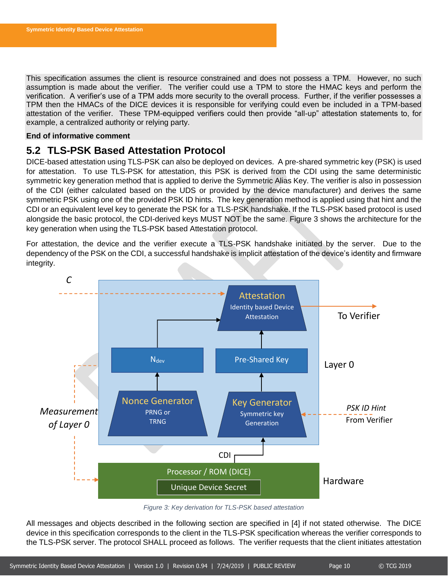This specification assumes the client is resource constrained and does not possess a TPM. However, no such assumption is made about the verifier. The verifier could use a TPM to store the HMAC keys and perform the verification. A verifier's use of a TPM adds more security to the overall process. Further, if the verifier possesses a TPM then the HMACs of the DICE devices it is responsible for verifying could even be included in a TPM-based attestation of the verifier. These TPM-equipped verifiers could then provide "all-up" attestation statements to, for example, a centralized authority or relying party.

### **End of informative comment**

# <span id="page-10-0"></span>**5.2 TLS-PSK Based Attestation Protocol**

DICE-based attestation using TLS-PSK can also be deployed on devices. A pre-shared symmetric key (PSK) is used for attestation. To use TLS-PSK for attestation, this PSK is derived from the CDI using the same deterministic symmetric key generation method that is applied to derive the Symmetric Alias Key. The verifier is also in possession of the CDI (either calculated based on the UDS or provided by the device manufacturer) and derives the same symmetric PSK using one of the provided PSK ID hints. The key generation method is applied using that hint and the CDI or an equivalent level key to generate the PSK for a TLS-PSK handshake. If the TLS-PSK based protocol is used alongside the basic protocol, the CDI-derived keys MUST NOT be the same. [Figure 3](#page-10-1) shows the architecture for the key generation when using the TLS-PSK based Attestation protocol.

For attestation, the device and the verifier execute a TLS-PSK handshake initiated by the server. Due to the dependency of the PSK on the CDI, a successful handshake is implicit attestation of the device's identity and firmware integrity.



*Figure 3: Key derivation for TLS-PSK based attestation*

<span id="page-10-1"></span>All messages and objects described in the following section are specified in [4] if not stated otherwise. The DICE device in this specification corresponds to the client in the TLS-PSK specification whereas the verifier corresponds to the TLS-PSK server. The protocol SHALL proceed as follows. The verifier requests that the client initiates attestation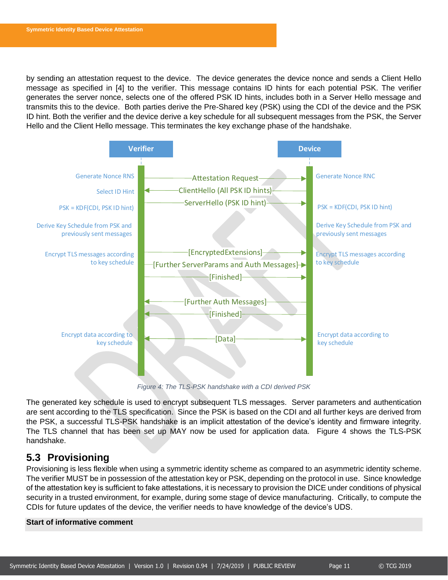by sending an attestation request to the device. The device generates the device nonce and sends a Client Hello message as specified in [4] to the verifier. This message contains ID hints for each potential PSK. The verifier generates the server nonce, selects one of the offered PSK ID hints, includes both in a Server Hello message and transmits this to the device. Both parties derive the Pre-Shared key (PSK) using the CDI of the device and the PSK ID hint. Both the verifier and the device derive a key schedule for all subsequent messages from the PSK, the Server Hello and the Client Hello message. This terminates the key exchange phase of the handshake.



*Figure 4: The TLS-PSK handshake with a CDI derived PSK*

<span id="page-11-1"></span>The generated key schedule is used to encrypt subsequent TLS messages. Server parameters and authentication are sent according to the TLS specification. Since the PSK is based on the CDI and all further keys are derived from the PSK, a successful TLS-PSK handshake is an implicit attestation of the device's identity and firmware integrity. The TLS channel that has been set up MAY now be used for application data. [Figure 4](#page-11-1) shows the TLS-PSK handshake.

# <span id="page-11-0"></span>**5.3 Provisioning**

Provisioning is less flexible when using a symmetric identity scheme as compared to an asymmetric identity scheme. The verifier MUST be in possession of the attestation key or PSK, depending on the protocol in use. Since knowledge of the attestation key is sufficient to fake attestations, it is necessary to provision the DICE under conditions of physical security in a trusted environment, for example, during some stage of device manufacturing. Critically, to compute the CDIs for future updates of the device, the verifier needs to have knowledge of the device's UDS.

### **Start of informative comment**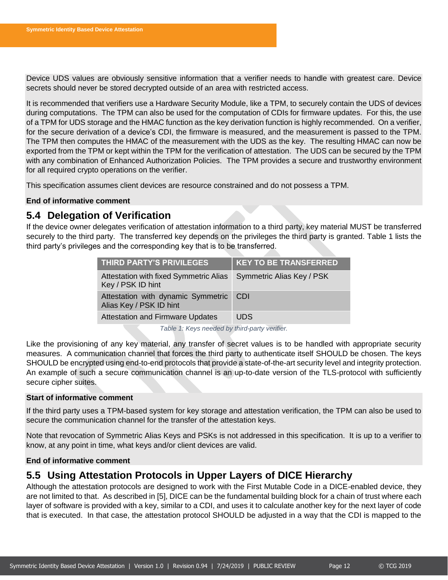Device UDS values are obviously sensitive information that a verifier needs to handle with greatest care. Device secrets should never be stored decrypted outside of an area with restricted access.

It is recommended that verifiers use a Hardware Security Module, like a TPM, to securely contain the UDS of devices during computations. The TPM can also be used for the computation of CDIs for firmware updates. For this, the use of a TPM for UDS storage and the HMAC function as the key derivation function is highly recommended. On a verifier, for the secure derivation of a device's CDI, the firmware is measured, and the measurement is passed to the TPM. The TPM then computes the HMAC of the measurement with the UDS as the key. The resulting HMAC can now be exported from the TPM or kept within the TPM for the verification of attestation. The UDS can be secured by the TPM with any combination of Enhanced Authorization Policies. The TPM provides a secure and trustworthy environment for all required crypto operations on the verifier.

This specification assumes client devices are resource constrained and do not possess a TPM.

### **End of informative comment**

### <span id="page-12-0"></span>**5.4 Delegation of Verification**

If the device owner delegates verification of attestation information to a third party, key material MUST be transferred securely to the third party. The transferred key depends on the privileges the third party is granted. [Table 1](#page-12-2) lists the third party's privileges and the corresponding key that is to be transferred.

| <b>THIRD PARTY'S PRIVILEGES</b>                               | <b>KEY TO BE TRANSFERRED</b> |
|---------------------------------------------------------------|------------------------------|
| Attestation with fixed Symmetric Alias<br>Key / PSK ID hint   | Symmetric Alias Key / PSK    |
| Attestation with dynamic Symmetric<br>Alias Key / PSK ID hint | <b>CDI</b>                   |
| <b>Attestation and Firmware Updates</b>                       | UDS.                         |

*Table 1: Keys needed by third-party verifier.*

<span id="page-12-2"></span>Like the provisioning of any key material, any transfer of secret values is to be handled with appropriate security measures. A communication channel that forces the third party to authenticate itself SHOULD be chosen. The keys SHOULD be encrypted using end-to-end protocols that provide a state-of-the-art security level and integrity protection. An example of such a secure communication channel is an up-to-date version of the TLS-protocol with sufficiently secure cipher suites.

### **Start of informative comment**

If the third party uses a TPM-based system for key storage and attestation verification, the TPM can also be used to secure the communication channel for the transfer of the attestation keys.

Note that revocation of Symmetric Alias Keys and PSKs is not addressed in this specification. It is up to a verifier to know, at any point in time, what keys and/or client devices are valid.

### **End of informative comment**

# <span id="page-12-1"></span>**5.5 Using Attestation Protocols in Upper Layers of DICE Hierarchy**

Although the attestation protocols are designed to work with the First Mutable Code in a DICE-enabled device, they are not limited to that. As described in [5], DICE can be the fundamental building block for a chain of trust where each layer of software is provided with a key, similar to a CDI, and uses it to calculate another key for the next layer of code that is executed. In that case, the attestation protocol SHOULD be adjusted in a way that the CDI is mapped to the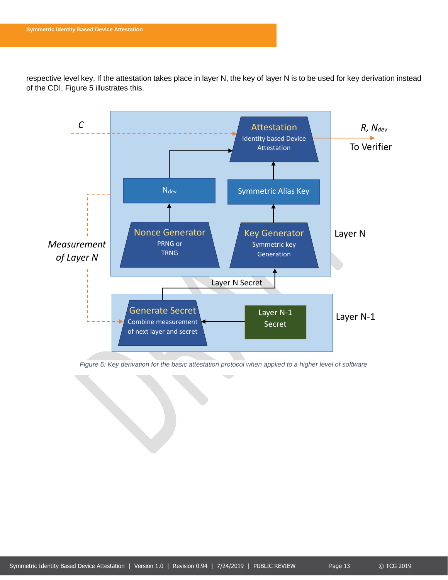respective level key. If the attestation takes place in layer N, the key of layer N is to be used for key derivation instead of the CDI. [Figure 5](#page-13-0) illustrates this.



<span id="page-13-0"></span>*Figure 5: Key derivation for the basic attestation protocol when applied to a higher level of software*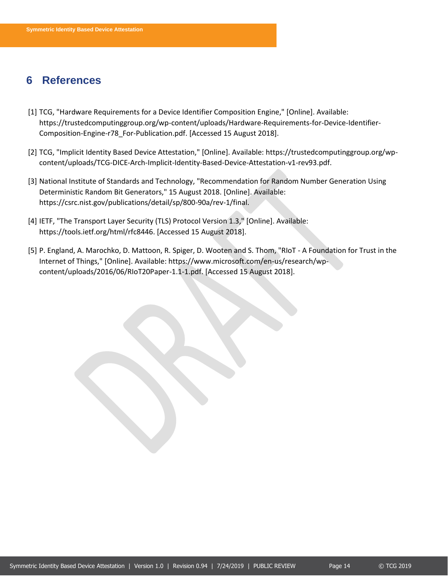# <span id="page-14-0"></span>**6 References**

- [1] TCG, "Hardware Requirements for a Device Identifier Composition Engine," [Online]. Available: https://trustedcomputinggroup.org/wp-content/uploads/Hardware-Requirements-for-Device-Identifier-Composition-Engine-r78\_For-Publication.pdf. [Accessed 15 August 2018].
- [2] TCG, "Implicit Identity Based Device Attestation," [Online]. Available: https://trustedcomputinggroup.org/wpcontent/uploads/TCG-DICE-Arch-Implicit-Identity-Based-Device-Attestation-v1-rev93.pdf.
- [3] National Institute of Standards and Technology, "Recommendation for Random Number Generation Using Deterministic Random Bit Generators," 15 August 2018. [Online]. Available: https://csrc.nist.gov/publications/detail/sp/800-90a/rev-1/final.
- [4] IETF, "The Transport Layer Security (TLS) Protocol Version 1.3," [Online]. Available: https://tools.ietf.org/html/rfc8446. [Accessed 15 August 2018].
- [5] P. England, A. Marochko, D. Mattoon, R. Spiger, D. Wooten and S. Thom, "RIoT A Foundation for Trust in the Internet of Things," [Online]. Available: https://www.microsoft.com/en-us/research/wpcontent/uploads/2016/06/RIoT20Paper-1.1-1.pdf. [Accessed 15 August 2018].